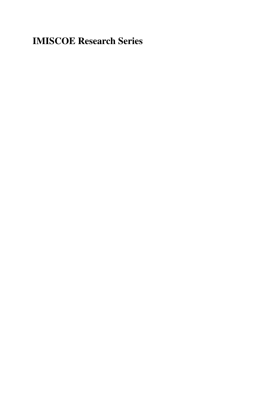**IMISCOE Research Series**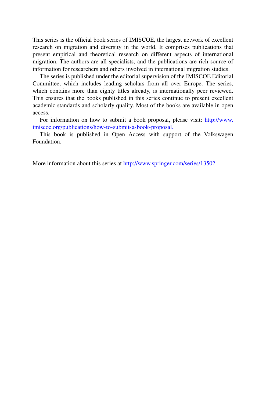This series is the official book series of IMISCOE, the largest network of excellent research on migration and diversity in the world. It comprises publications that present empirical and theoretical research on different aspects of international migration. The authors are all specialists, and the publications are rich source of information for researchers and others involved in international migration studies.

The series is published under the editorial supervision of the IMISCOE Editorial Committee, which includes leading scholars from all over Europe. The series, which contains more than eighty titles already, is internationally peer reviewed. This ensures that the books published in this series continue to present excellent academic standards and scholarly quality. Most of the books are available in open access.

For information on how to submit a book proposal, please visit: [http://www.](http://www.imiscoe.org/publications/how-to-submit-a-book-proposal.) [imiscoe.org/publications/how-to-submit-a-book-proposal.](http://www.imiscoe.org/publications/how-to-submit-a-book-proposal.)

This book is published in Open Access with support of the Volkswagen Foundation.

More information about this series at <http://www.springer.com/series/13502>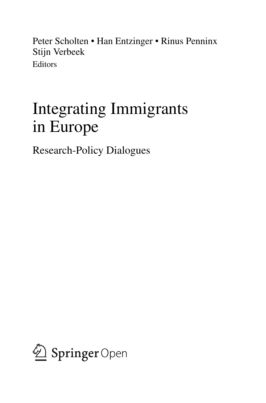Peter Scholten • Han Entzinger • Rinus Penninx Stijn Verbeek Editors

## Integrating Immigrants in Europe

Research-Policy Dialogues

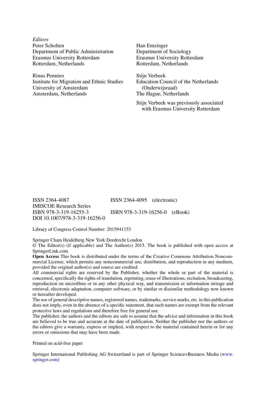*Editors* Peter Scholten Department of Public Administration Erasmus University Rotterdam Rotterdam, Netherlands

Rinus Penninx Institute for Migration and Ethnic Studies University of Amsterdam Amsterdam, Netherlands

Han Entzinger Department of Sociology Erasmus University Rotterdam Rotterdam, Netherlands

Stijn Verbeek Education Council of the Netherlands (Onderwijsraad) The Hague, Netherlands

Stijn Verbeek was previously associated with Erasmus University Rotterdam

ISSN 2364-4087 ISSN 2364-4095 (electronic) IMISCOE Research Series ISBN 978-3-319-16255-3 ISBN 978-3-319-16256-0 (eBook) DOI 10.1007/978-3-319-16256-0

Library of Congress Control Number: 2015941153

Springer Cham Heidelberg New York Dordrecht London

© The Editor(s) (if applicable) and The Author(s) 2015. The book is published with open access at SpringerLink.com.

**Open Access** This book is distributed under the terms of the Creative Commons Attribution Noncommercial License, which permits any noncommercial use, distribution, and reproduction in any medium, provided the original author(s) and source are credited.

All commercial rights are reserved by the Publisher, whether the whole or part of the material is concerned, specifically the rights of translation, reprinting, reuse of illustrations, recitation, broadcasting, reproduction on microfilms or in any other physical way, and transmission or information storage and retrieval, electronic adaptation, computer software, or by similar or dissimilar methodology now known or hereafter developed.

The use of general descriptive names, registered names, trademarks, service marks, etc. in this publication does not imply, even in the absence of a specific statement, that such names are exempt from the relevant protective laws and regulations and therefore free for general use.

The publisher, the authors and the editors are safe to assume that the advice and information in this book are believed to be true and accurate at the date of publication. Neither the publisher nor the authors or the editors give a warranty, express or implied, with respect to the material contained herein or for any errors or omissions that may have been made.

Printed on acid-free paper

Springer International Publishing AG Switzerland is part of Springer Science+Business Media [\(www.](www.springer.com) [springer.com\)](www.springer.com)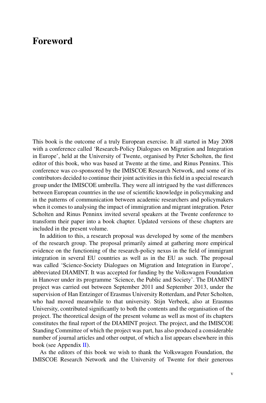## **Foreword**

This book is the outcome of a truly European exercise. It all started in May 2008 with a conference called 'Research-Policy Dialogues on Migration and Integration in Europe', held at the University of Twente, organised by Peter Scholten, the first editor of this book, who was based at Twente at the time, and Rinus Penninx. This conference was co-sponsored by the IMISCOE Research Network, and some of its contributors decided to continue their joint activities in this field in a special research group under the IMISCOE umbrella. They were all intrigued by the vast differences between European countries in the use of scientific knowledge in policymaking and in the patterns of communication between academic researchers and policymakers when it comes to analysing the impact of immigration and migrant integration. Peter Scholten and Rinus Penninx invited several speakers at the Twente conference to transform their paper into a book chapter. Updated versions of these chapters are included in the present volume.

In addition to this, a research proposal was developed by some of the members of the research group. The proposal primarily aimed at gathering more empirical evidence on the functioning of the research-policy nexus in the field of immigrant integration in several EU countries as well as in the EU as such. The proposal was called 'Science-Society Dialogues on Migration and Integration in Europe', abbreviated DIAMINT. It was accepted for funding by the Volkswagen Foundation in Hanover under its programme 'Science, the Public and Society'. The DIAMINT project was carried out between September 2011 and September 2013, under the supervision of Han Entzinger of Erasmus University Rotterdam, and Peter Scholten, who had moved meanwhile to that university. Stijn Verbeek, also at Erasmus University, contributed significantly to both the contents and the organisation of the project. The theoretical design of the present volume as well as most of its chapters constitutes the final report of the DIAMINT project. The project, and the IMISCOE Standing Committee of which the project was part, has also produced a considerable number of journal articles and other output, of which a list appears elsewhere in this book (see Appendix [II\)](http://dx.doi.org/10.1007/978-3-319-16256-0_BM1).

As the editors of this book we wish to thank the Volkswagen Foundation, the IMISCOE Research Network and the University of Twente for their generous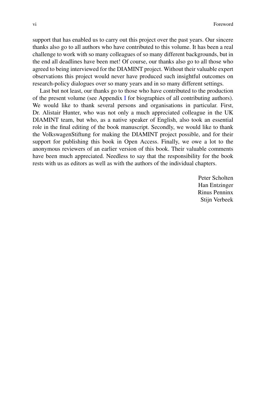support that has enabled us to carry out this project over the past years. Our sincere thanks also go to all authors who have contributed to this volume. It has been a real challenge to work with so many colleagues of so many different backgrounds, but in the end all deadlines have been met! Of course, our thanks also go to all those who agreed to being interviewed for the DIAMINT project. Without their valuable expert observations this project would never have produced such insightful outcomes on research-policy dialogues over so many years and in so many different settings.

Last but not least, our thanks go to those who have contributed to the production of the present volume (see Appendix [I](http://dx.doi.org/10.1007/978-3-319-16256-0_BM1) for biographies of all contributing authors). We would like to thank several persons and organisations in particular. First, Dr. Alistair Hunter, who was not only a much appreciated colleague in the UK DIAMINT team, but who, as a native speaker of English, also took an essential role in the final editing of the book manuscript. Secondly, we would like to thank the VolkswagenStiftung for making the DIAMINT project possible, and for their support for publishing this book in Open Access. Finally, we owe a lot to the anonymous reviewers of an earlier version of this book. Their valuable comments have been much appreciated. Needless to say that the responsibility for the book rests with us as editors as well as with the authors of the individual chapters.

> Peter Scholten Han Entzinger Rinus Penninx Stijn Verbeek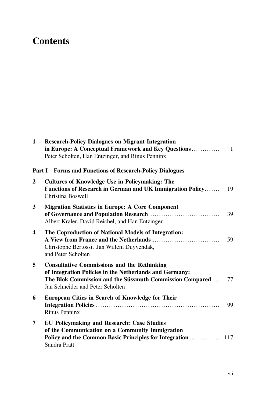## **Contents**

| $\mathbf{1}$            | <b>Research-Policy Dialogues on Migrant Integration</b><br>in Europe: A Conceptual Framework and Key Questions<br>Peter Scholten, Han Entzinger, and Rinus Penninx                                            | $\mathbf{1}$ |
|-------------------------|---------------------------------------------------------------------------------------------------------------------------------------------------------------------------------------------------------------|--------------|
|                         | Part I Forms and Functions of Research-Policy Dialogues                                                                                                                                                       |              |
| 2                       | <b>Cultures of Knowledge Use in Policymaking: The</b><br>Functions of Research in German and UK Immigration Policy<br>Christina Boswell                                                                       | 19           |
| $\mathbf{3}$            | <b>Migration Statistics in Europe: A Core Component</b><br>Albert Kraler, David Reichel, and Han Entzinger                                                                                                    | 39           |
| $\overline{\mathbf{4}}$ | The Coproduction of National Models of Integration:<br>Christophe Bertossi, Jan Willem Duyvendak,<br>and Peter Scholten                                                                                       | 59           |
| 5                       | <b>Consultative Commissions and the Rethinking</b><br>of Integration Policies in the Netherlands and Germany:<br>The Blok Commission and the Süssmuth Commission Compared<br>Jan Schneider and Peter Scholten | 77           |
| 6                       | European Cities in Search of Knowledge for Their<br><b>Rinus Penninx</b>                                                                                                                                      | 99           |
| 7                       | EU Policymaking and Research: Case Studies<br>of the Communication on a Community Immigration<br>Policy and the Common Basic Principles for Integration  117<br>Sandra Pratt                                  |              |